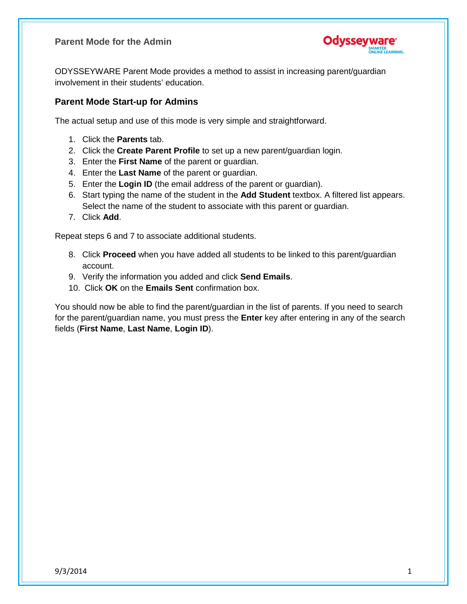**Parent Mode for the Admin**



ODYSSEYWARE Parent Mode provides a method to assist in increasing parent/guardian involvement in their students' education.

## **Parent Mode Start-up for Admins**

The actual setup and use of this mode is very simple and straightforward.

- 1. Click the **Parents** tab.
- 2. Click the **Create Parent Profile** to set up a new parent/guardian login.
- 3. Enter the **First Name** of the parent or guardian.
- 4. Enter the **Last Name** of the parent or guardian.
- 5. Enter the **Login ID** (the email address of the parent or guardian).
- 6. Start typing the name of the student in the **Add Student** textbox. A filtered list appears. Select the name of the student to associate with this parent or guardian.
- 7. Click **Add**.

Repeat steps 6 and 7 to associate additional students.

- 8. Click **Proceed** when you have added all students to be linked to this parent/guardian account.
- 9. Verify the information you added and click **Send Emails**.
- 10. Click **OK** on the **Emails Sent** confirmation box.

You should now be able to find the parent/guardian in the list of parents. If you need to search for the parent/guardian name, you must press the **Enter** key after entering in any of the search fields (**First Name**, **Last Name**, **Login ID**).